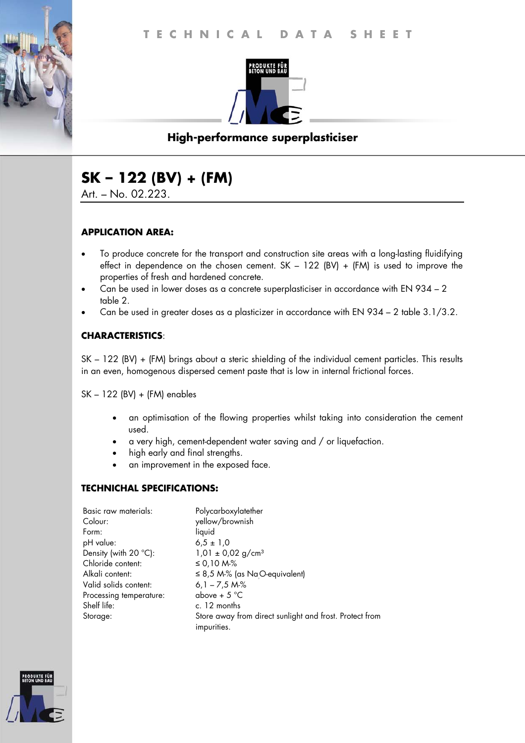

# **High-performance superplasticiser**

# **SK – 122 (BV) + (FM)**

Art. – No. 02.223.

#### **APPLICATION AREA:**

- To produce concrete for the transport and construction site areas with a long-lasting fluidifying effect in dependence on the chosen cement.  $SK - 122$  (BV) + (FM) is used to improve the properties of fresh and hardened concrete.
- Can be used in lower doses as a concrete superplasticiser in accordance with EN 934 2 table 2.
- Can be used in greater doses as a plasticizer in accordance with EN 934 2 table 3.1/3.2.

## **CHARACTERISTICS**:

SK – 122 (BV) + (FM) brings about a steric shielding of the individual cement particles. This results in an even, homogenous dispersed cement paste that is low in internal frictional forces.

SK – 122 (BV) + (FM) enables

- an optimisation of the flowing properties whilst taking into consideration the cement used.
- a very high, cement-dependent water saving and / or liquefaction.
- high early and final strengths.
- an improvement in the exposed face.

## **TECHNICHAL SPECIFICATIONS:**

| Basic raw materials:    | Polycarboxylatether                                                    |
|-------------------------|------------------------------------------------------------------------|
| Colour:                 | yellow/brownish                                                        |
| Form:                   | liquid                                                                 |
| pH value:               | $6.5 \pm 1.0$                                                          |
| Density (with 20 °C):   | $1,01 \pm 0,02$ g/cm <sup>3</sup>                                      |
| Chloride content:       | ≤ 0,10 M-%                                                             |
| Alkali content:         | $\leq$ 8,5 M-% (as NaO-equivalent)                                     |
| Valid solids content:   | $6,1 - 7,5$ M-%                                                        |
| Processing temperature: | above + $5^{\circ}$ C                                                  |
| Shelf life:             | c. 12 months                                                           |
| Storage:                | Store away from direct sunlight and frost. Protect from<br>impurities. |